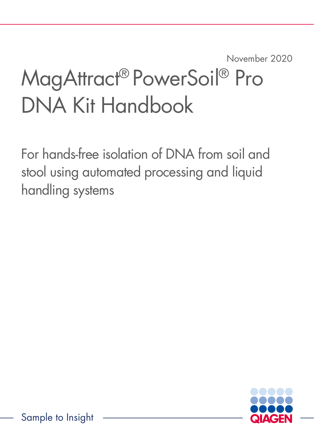November 2020

# MagAttract® PowerSoil® Pro DNA Kit Handbook

For hands-free isolation of DNA from soil and stool using automated processing and liquid handling systems



Sample to Insight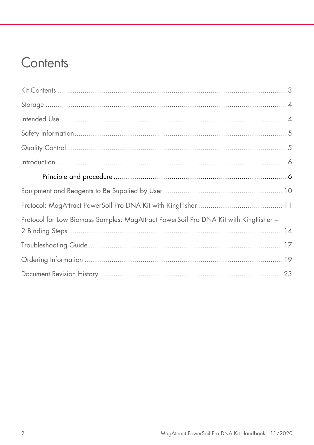#### Contents

| Protocol for Low Biomass Samples: MagAttract PowerSoil Pro DNA Kit with KingFisher - |  |
|--------------------------------------------------------------------------------------|--|
|                                                                                      |  |
|                                                                                      |  |
|                                                                                      |  |
|                                                                                      |  |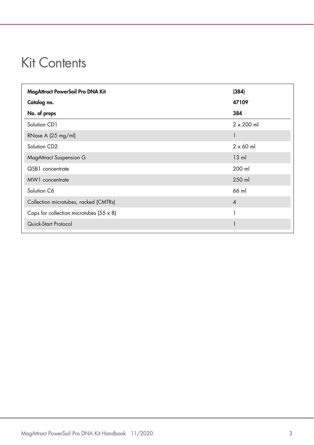#### <span id="page-2-0"></span>Kit Contents

| MagAttract PowerSoil Pro DNA Kit               | (384)             |
|------------------------------------------------|-------------------|
| Catalog no.                                    | 47109             |
| No. of preps                                   | 384               |
| Solution CD1                                   | $2 \times 200$ ml |
| RNase A (25 mg/ml)                             | 1                 |
| Solution CD2                                   | $2 \times 60$ ml  |
| <b>MagAttract Suspension G</b>                 | $13 \text{ ml}$   |
| QSB1 concentrate                               | 200 ml            |
| MW1 concentrate                                | 250 ml            |
| Solution C6                                    | 66 ml             |
| Collection microtubes, racked (CMTRs)          | $\overline{4}$    |
| Caps for collection microtubes $(55 \times 8)$ | 1                 |
| Quick-Start Protocol                           |                   |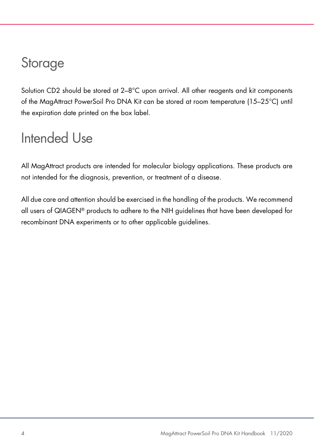### <span id="page-3-0"></span>Storage

Solution CD2 should be stored at 2-8°C upon arrival. All other reagents and kit components of the MagAttract PowerSoil Pro DNA Kit can be stored at room temperature (15–25°C) until the expiration date printed on the box label.

### <span id="page-3-1"></span>Intended Use

All MagAttract products are intended for molecular biology applications. These products are not intended for the diagnosis, prevention, or treatment of a disease.

All due care and attention should be exercised in the handling of the products. We recommend all users of QIAGEN® products to adhere to the NIH guidelines that have been developed for recombinant DNA experiments or to other applicable guidelines.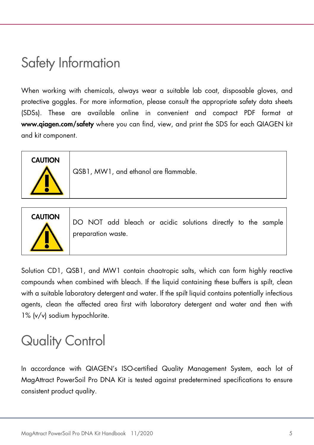### <span id="page-4-0"></span>Safety Information

When working with chemicals, always wear a suitable lab coat, disposable gloves, and protective goggles. For more information, please consult the appropriate safety data sheets (SDSs). These are available online in convenient and compact PDF format at www.qiagen.com/safety where you can find, view, and print the SDS for each QIAGEN kit and kit component.



QSB1, MW1, and ethanol are flammable.



CAUTION DO NOT add bleach or acidic solutions directly to the sample preparation waste.

Solution CD1, QSB1, and MW1 contain chaotropic salts, which can form highly reactive compounds when combined with bleach. If the liquid containing these buffers is spilt, clean with a suitable laboratory detergent and water. If the spilt liquid contains potentially infectious agents, clean the affected area first with laboratory detergent and water and then with 1% (v/v) sodium hypochlorite.

## <span id="page-4-1"></span>Quality Control

In accordance with QIAGEN's ISO-certified Quality Management System, each lot of MagAttract PowerSoil Pro DNA Kit is tested against predetermined specifications to ensure consistent product quality.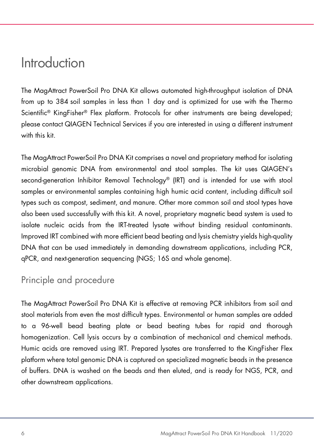#### <span id="page-5-0"></span>Introduction

The MagAttract PowerSoil Pro DNA Kit allows automated high-throughput isolation of DNA from up to 384 soil samples in less than 1 day and is optimized for use with the Thermo Scientific® KingFisher® Flex platform. Protocols for other instruments are being developed; please contact QIAGEN Technical Services if you are interested in using a different instrument with this kit.

The MagAttract PowerSoil Pro DNA Kit comprises a novel and proprietary method for isolating microbial genomic DNA from environmental and stool samples. The kit uses QIAGEN's second-generation Inhibitor Removal Technology® (IRT) and is intended for use with stool samples or environmental samples containing high humic acid content, including difficult soil types such as compost, sediment, and manure. Other more common soil and stool types have also been used successfully with this kit. A novel, proprietary magnetic bead system is used to isolate nucleic acids from the IRT-treated lysate without binding residual contaminants. Improved IRT combined with more efficient bead beating and lysis chemistry yields high-quality DNA that can be used immediately in demanding downstream applications, including PCR, qPCR, and next-generation sequencing (NGS; 16S and whole genome).

#### <span id="page-5-1"></span>Principle and procedure

The MagAttract PowerSoil Pro DNA Kit is effective at removing PCR inhibitors from soil and stool materials from even the most difficult types. Environmental or human samples are added to a 96-well bead beating plate or bead beating tubes for rapid and thorough homogenization. Cell lysis occurs by a combination of mechanical and chemical methods. Humic acids are removed using IRT. Prepared lysates are transferred to the KingFisher Flex platform where total genomic DNA is captured on specialized magnetic beads in the presence of buffers. DNA is washed on the beads and then eluted, and is ready for NGS, PCR, and other downstream applications.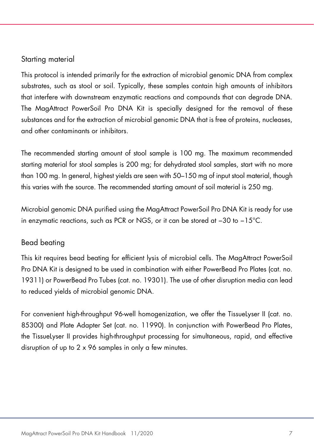#### Starting material

This protocol is intended primarily for the extraction of microbial genomic DNA from complex substrates, such as stool or soil. Typically, these samples contain high amounts of inhibitors that interfere with downstream enzymatic reactions and compounds that can degrade DNA. The MagAttract PowerSoil Pro DNA Kit is specially designed for the removal of these substances and for the extraction of microbial genomic DNA that is free of proteins, nucleases, and other contaminants or inhibitors.

The recommended starting amount of stool sample is 100 mg. The maximum recommended starting material for stool samples is 200 mg; for dehydrated stool samples, start with no more than 100 mg. In general, highest yields are seen with 50–150 mg of input stool material, though this varies with the source. The recommended starting amount of soil material is 250 mg.

Microbial genomic DNA purified using the MagAttract PowerSoil Pro DNA Kit is ready for use in enzymatic reactions, such as PCR or NGS, or it can be stored at −30 to −15°C.

#### Bead beating

This kit requires bead beating for efficient lysis of microbial cells. The MagAttract PowerSoil Pro DNA Kit is designed to be used in combination with either PowerBead Pro Plates (cat. no. 19311) or PowerBead Pro Tubes (cat. no. 19301). The use of other disruption media can lead to reduced yields of microbial genomic DNA.

For convenient high-throughput 96-well homogenization, we offer the TissueLyser II (cat. no. 85300) and Plate Adapter Set (cat. no. 11990). In conjunction with PowerBead Pro Plates, the TissueLyser II provides high-throughput processing for simultaneous, rapid, and effective disruption of up to 2 x 96 samples in only a few minutes.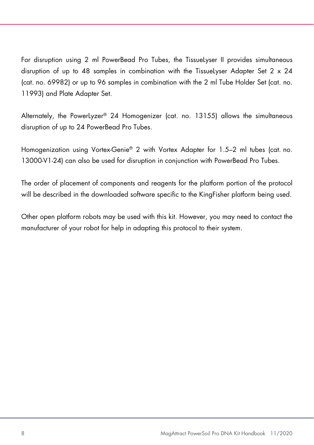For disruption using 2 ml PowerBead Pro Tubes, the TissueLyser II provides simultaneous disruption of up to 48 samples in combination with the TissueLyser Adapter Set 2  $\times$  24 (cat. no. 69982) or up to 96 samples in combination with the 2 ml Tube Holder Set (cat. no. 11993) and Plate Adapter Set.

Alternately, the PowerLyzer® 24 Homogenizer (cat. no. 13155) allows the simultaneous disruption of up to 24 PowerBead Pro Tubes.

Homogenization using Vortex-Genie® 2 with Vortex Adapter for 1.5–2 ml tubes (cat. no. 13000-V1-24) can also be used for disruption in conjunction with PowerBead Pro Tubes.

The order of placement of components and reagents for the platform portion of the protocol will be described in the downloaded software specific to the KingFisher platform being used.

Other open platform robots may be used with this kit. However, you may need to contact the manufacturer of your robot for help in adapting this protocol to their system.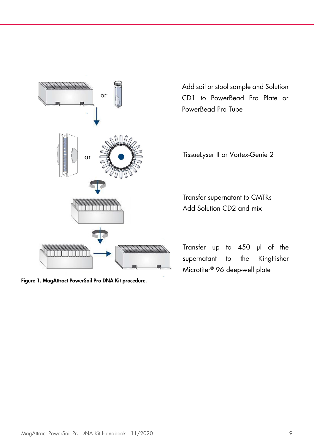

Figure 1. MagAttract PowerSoil Pro DNA Kit procedure.

Add soil or stool sample and Solution CD1 to PowerBead Pro Plate or PowerBead Pro Tube

TissueLyser II or Vortex-Genie 2

Transfer supernatant to CMTRs Add Solution CD2 and mix

Transfer up to 450 µl of the supernatant to the KingFisher Microtiter® 96 deep-well plate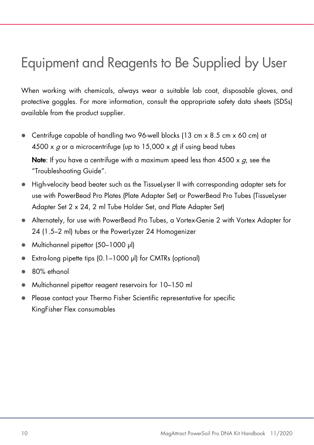### <span id="page-9-0"></span>Equipment and Reagents to Be Supplied by User

When working with chemicals, always wear a suitable lab coat, disposable gloves, and protective goggles. For more information, consult the appropriate safety data sheets (SDSs) available from the product supplier.

 Centrifuge capable of handling two 96-well blocks (13 cm x 8.5 cm x 60 cm) at 4500 x  $g$  or a microcentrifuge (up to 15,000 x  $g$ ) if using bead tubes

Note: If you have a centrifuge with a maximum speed less than  $4500 \times g$ , see the ["Troubleshooting Guide"](#page-16-0).

- High-velocity bead beater such as the TissueLyser II with corresponding adapter sets for use with PowerBead Pro Plates (Plate Adapter Set) or PowerBead Pro Tubes (TissueLyser Adapter Set 2 x 24, 2 ml Tube Holder Set, and Plate Adapter Set)
- Alternately, for use with PowerBead Pro Tubes, a Vortex-Genie 2 with Vortex Adapter for 24 (1.5–2 ml) tubes or the PowerLyzer 24 Homogenizer
- Multichannel pipettor (50–1000 μl)
- Extra-long pipette tips (0.1–1000 µl) for CMTRs (optional)
- 80% ethanol
- Multichannel pipettor reagent reservoirs for 10–150 ml
- Please contact your Thermo Fisher Scientific representative for specific KingFisher Flex consumables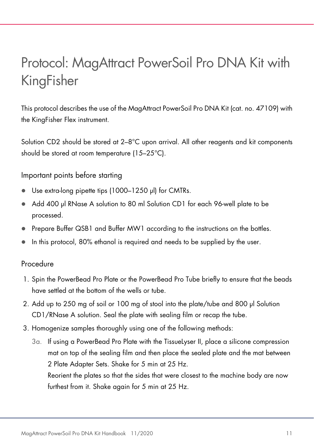## <span id="page-10-0"></span>Protocol: MagAttract PowerSoil Pro DNA Kit with KingFisher

This protocol describes the use of the MagAttract PowerSoil Pro DNA Kit (cat. no. 47109) with the KingFisher Flex instrument.

Solution CD2 should be stored at 2–8°C upon arrival. All other reagents and kit components should be stored at room temperature (15–25°C).

Important points before starting

- Use extra-long pipette tips (1000-1250 µl) for CMTRs.
- Add 400 µl RNase A solution to 80 ml Solution CD1 for each 96-well plate to be processed.
- Prepare Buffer QSB1 and Buffer MW1 according to the instructions on the bottles.
- In this protocol, 80% ethanol is required and needs to be supplied by the user.

#### Procedure

- 1. Spin the PowerBead Pro Plate or the PowerBead Pro Tube briefly to ensure that the beads have settled at the bottom of the wells or tube.
- 2. Add up to 250 mg of soil or 100 mg of stool into the plate/tube and 800 µl Solution CD1/RNase A solution. Seal the plate with sealing film or recap the tube.
- 3. Homogenize samples thoroughly using one of the following methods:
	- 3a. If using a PowerBead Pro Plate with the TissueLyser II, place a silicone compression mat on top of the sealing film and then place the sealed plate and the mat between 2 Plate Adapter Sets. Shake for 5 min at 25 Hz. Reorient the plates so that the sides that were closest to the machine body are now furthest from it. Shake again for 5 min at 25 Hz.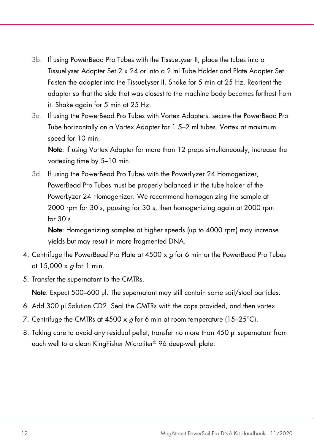- 3b. If using PowerBead Pro Tubes with the TissueLyser II, place the tubes into a TissueLyser Adapter Set 2 x 24 or into a 2 ml Tube Holder and Plate Adapter Set. Fasten the adapter into the TissueLyser II. Shake for 5 min at 25 Hz. Reorient the adapter so that the side that was closest to the machine body becomes furthest from it. Shake again for 5 min at 25 Hz.
- 3c. If using the PowerBead Pro Tubes with Vortex Adapters, secure the PowerBead Pro Tube horizontally on a Vortex Adapter for 1.5–2 ml tubes. Vortex at maximum speed for 10 min.

Note: If using Vortex Adapter for more than 12 preps simultaneously, increase the vortexing time by 5–10 min.

3d. If using the PowerBead Pro Tubes with the PowerLyzer 24 Homogenizer, PowerBead Pro Tubes must be properly balanced in the tube holder of the PowerLyzer 24 Homogenizer. We recommend homogenizing the sample at 2000 rpm for 30 s, pausing for 30 s, then homogenizing again at 2000 rpm for 30 s.

Note: Homogenizing samples at higher speeds (up to 4000 rpm) may increase yields but may result in more fragmented DNA.

- 4. Centrifuge the PowerBead Pro Plate at  $4500 \times g$  for 6 min or the PowerBead Pro Tubes at  $15,000 \times g$  for 1 min.
- 5. Transfer the supernatant to the CMTRs.

Note: Expect 500–600 µl. The supernatant may still contain some soil/stool particles.

- 6. Add 300 μl Solution CD2. Seal the CMTRs with the caps provided, and then vortex.
- 7. Centrifuge the CMTRs at 4500 x  $q$  for 6 min at room temperature (15–25°C).
- 8. Taking care to avoid any residual pellet, transfer no more than 450 µl supernatant from each well to a clean KingFisher Microtiter® 96 deep-well plate.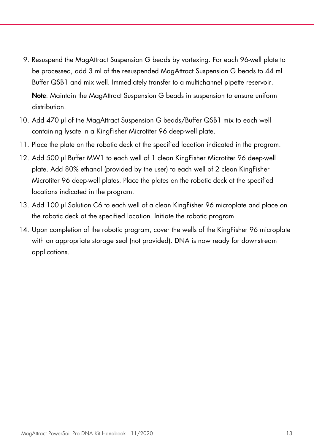- 9. Resuspend the MagAttract Suspension G beads by vortexing. For each 96-well plate to be processed, add 3 ml of the resuspended MagAttract Suspension G beads to 44 ml Buffer QSB1 and mix well. Immediately transfer to a multichannel pipette reservoir. Note: Maintain the MagAttract Suspension G beads in suspension to ensure uniform distribution.
- 10. Add 470 µl of the MagAttract Suspension G beads/Buffer QSB1 mix to each well containing lysate in a KingFisher Microtiter 96 deep-well plate.
- 11. Place the plate on the robotic deck at the specified location indicated in the program.
- 12. Add 500 µl Buffer MW1 to each well of 1 clean KingFisher Microtiter 96 deep-well plate. Add 80% ethanol (provided by the user) to each well of 2 clean KingFisher Microtiter 96 deep-well plates. Place the plates on the robotic deck at the specified locations indicated in the program.
- 13. Add 100 µl Solution C6 to each well of a clean KingFisher 96 microplate and place on the robotic deck at the specified location. Initiate the robotic program.
- 14. Upon completion of the robotic program, cover the wells of the KingFisher 96 microplate with an appropriate storage seal (not provided). DNA is now ready for downstream applications.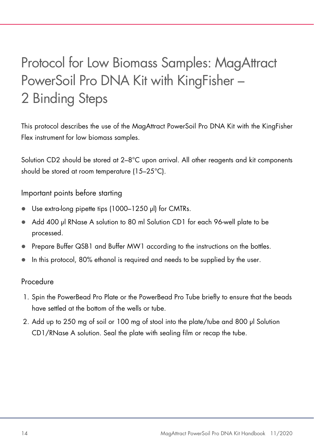# <span id="page-13-0"></span>Protocol for Low Biomass Samples: MagAttract PowerSoil Pro DNA Kit with KingFisher – 2 Binding Steps

This protocol describes the use of the MagAttract PowerSoil Pro DNA Kit with the KingFisher Flex instrument for low biomass samples.

Solution CD2 should be stored at 2–8°C upon arrival. All other reagents and kit components should be stored at room temperature (15–25°C).

Important points before starting

- Use extra-long pipette tips (1000–1250 µl) for CMTRs.
- Add 400 µl RNase A solution to 80 ml Solution CD1 for each 96-well plate to be processed.
- Prepare Buffer QSB1 and Buffer MW1 according to the instructions on the bottles.
- In this protocol, 80% ethanol is required and needs to be supplied by the user.

#### Procedure

- 1. Spin the PowerBead Pro Plate or the PowerBead Pro Tube briefly to ensure that the beads have settled at the bottom of the wells or tube.
- 2. Add up to 250 mg of soil or 100 mg of stool into the plate/tube and 800 µl Solution CD1/RNase A solution. Seal the plate with sealing film or recap the tube.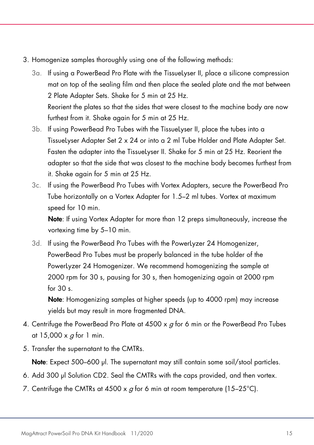- 3. Homogenize samples thoroughly using one of the following methods:
	- 3a. If using a PowerBead Pro Plate with the TissueLyser II, place a silicone compression mat on top of the sealing film and then place the sealed plate and the mat between 2 Plate Adapter Sets. Shake for 5 min at 25 Hz. Reorient the plates so that the sides that were closest to the machine body are now furthest from it. Shake again for 5 min at 25 Hz.
	- 3b. If using PowerBead Pro Tubes with the TissueLyser II, place the tubes into a TissueLyser Adapter Set 2 x 24 or into a 2 ml Tube Holder and Plate Adapter Set. Fasten the adapter into the TissueLyser II. Shake for 5 min at 25 Hz. Reorient the adapter so that the side that was closest to the machine body becomes furthest from it. Shake again for 5 min at 25 Hz.
	- 3c. If using the PowerBead Pro Tubes with Vortex Adapters, secure the PowerBead Pro Tube horizontally on a Vortex Adapter for 1.5–2 ml tubes. Vortex at maximum speed for 10 min.

Note: If using Vortex Adapter for more than 12 preps simultaneously, increase the vortexing time by 5–10 min.

3d. If using the PowerBead Pro Tubes with the PowerLyzer 24 Homogenizer, PowerBead Pro Tubes must be properly balanced in the tube holder of the PowerLyzer 24 Homogenizer. We recommend homogenizing the sample at 2000 rpm for 30 s, pausing for 30 s, then homogenizing again at 2000 rpm for  $30 \text{ s}$ 

Note: Homogenizing samples at higher speeds (up to 4000 rpm) may increase yields but may result in more fragmented DNA.

- 4. Centrifuge the PowerBead Pro Plate at 4500  $\times$  g for 6 min or the PowerBead Pro Tubes at 15,000  $\times$  g for 1 min.
- 5. Transfer the supernatant to the CMTRs.

Note: Expect 500–600 µl. The supernatant may still contain some soil/stool particles.

- 6. Add 300 μl Solution CD2. Seal the CMTRs with the caps provided, and then vortex.
- 7. Centrifuge the CMTRs at 4500 x  $g$  for 6 min at room temperature (15–25°C).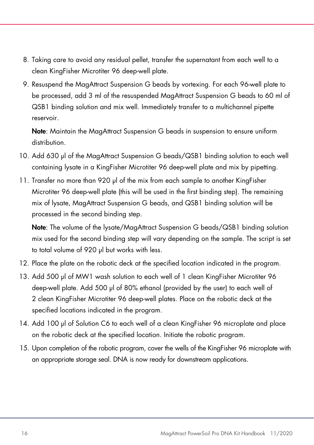- 8. Taking care to avoid any residual pellet, transfer the supernatant from each well to a clean KingFisher Microtiter 96 deep-well plate.
- 9. Resuspend the MagAttract Suspension G beads by vortexing. For each 96-well plate to be processed, add 3 ml of the resuspended MagAttract Suspension G beads to 60 ml of QSB1 binding solution and mix well. Immediately transfer to a multichannel pipette reservoir.

Note: Maintain the MagAttract Suspension G beads in suspension to ensure uniform distribution.

- 10. Add 630 µl of the MagAttract Suspension G beads/QSB1 binding solution to each well containing lysate in a KingFisher Microtiter 96 deep-well plate and mix by pipetting.
- 11. Transfer no more than 920 µl of the mix from each sample to another KingFisher Microtiter 96 deep-well plate (this will be used in the first binding step). The remaining mix of lysate, MagAttract Suspension G beads, and QSB1 binding solution will be processed in the second binding step.

Note: The volume of the lysate/MagAttract Suspension G beads/QSB1 binding solution mix used for the second binding step will vary depending on the sample. The script is set to total volume of 920 µl but works with less.

- 12. Place the plate on the robotic deck at the specified location indicated in the program.
- 13. Add 500 µl of MW1 wash solution to each well of 1 clean KingFisher Microtiter 96 deep-well plate. Add 500 µl of 80% ethanol (provided by the user) to each well of 2 clean KingFisher Microtiter 96 deep-well plates. Place on the robotic deck at the specified locations indicated in the program.
- 14. Add 100 µl of Solution C6 to each well of a clean KingFisher 96 microplate and place on the robotic deck at the specified location. Initiate the robotic program.
- 15. Upon completion of the robotic program, cover the wells of the KingFisher 96 microplate with an appropriate storage seal. DNA is now ready for downstream applications.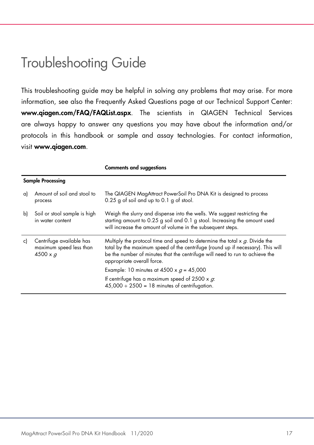### <span id="page-16-0"></span>Troubleshooting Guide

This troubleshooting guide may be helpful in solving any problems that may arise. For more information, see also the Frequently Asked Questions page at our Technical Support Center: www.qiagen.com/FAQ/FAQList.aspx. The scientists in QIAGEN Technical Services are always happy to answer any questions you may have about the information and/or protocols in this handbook or sample and assay technologies. For contact information, visit www.qiagen.com.

|    |                                                                        | <b>Comments and suggestions</b>                                                                                                                                                                                                                                                                                                                                                                                                            |
|----|------------------------------------------------------------------------|--------------------------------------------------------------------------------------------------------------------------------------------------------------------------------------------------------------------------------------------------------------------------------------------------------------------------------------------------------------------------------------------------------------------------------------------|
|    | <b>Sample Processing</b>                                               |                                                                                                                                                                                                                                                                                                                                                                                                                                            |
| a) | Amount of soil and stool to<br>process                                 | The QIAGEN MagAttract PowerSoil Pro DNA Kit is designed to process<br>0.25 g of soil and up to 0.1 g of stool.                                                                                                                                                                                                                                                                                                                             |
| b) | Soil or stool sample is high<br>in water content                       | Weigh the slurry and dispense into the wells. We suggest restricting the<br>starting amount to 0.25 g soil and 0.1 g stool. Increasing the amount used<br>will increase the amount of volume in the subsequent steps.                                                                                                                                                                                                                      |
| c) | Centrifuge available has<br>maximum speed less than<br>$4500 \times g$ | Multiply the protocol time and speed to determine the total $x$ $q$ . Divide the<br>total by the maximum speed of the centrifuge (round up if necessary). This will<br>be the number of minutes that the centrifuge will need to run to achieve the<br>appropriate overall force.<br>Example: 10 minutes at 4500 x $g = 45,000$<br>If centrifuge has a maximum speed of 2500 x $g$ .<br>$45,000 \div 2500 = 18$ minutes of centrifugation. |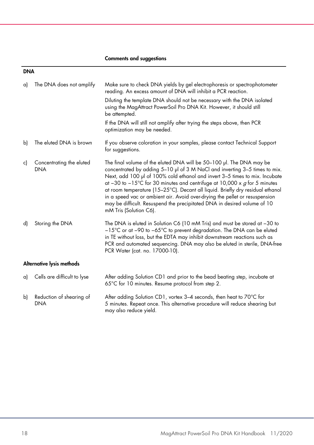#### Comments and suggestions

#### DNA

| a) | The DNA does not amplify               | Make sure to check DNA yields by gel electrophoresis or spectrophotometer<br>reading. An excess amount of DNA will inhibit a PCR reaction.<br>Diluting the template DNA should not be necessary with the DNA isolated<br>using the MagAttract PowerSoil Pro DNA Kit. However, it should still<br>be attempted.<br>If the DNA will still not amplify after trying the steps above, then PCR<br>optimization may be needed.                                                                                                                                                               |
|----|----------------------------------------|-----------------------------------------------------------------------------------------------------------------------------------------------------------------------------------------------------------------------------------------------------------------------------------------------------------------------------------------------------------------------------------------------------------------------------------------------------------------------------------------------------------------------------------------------------------------------------------------|
| b) | The eluted DNA is brown                | If you observe coloration in your samples, please contact Technical Support<br>for suggestions.                                                                                                                                                                                                                                                                                                                                                                                                                                                                                         |
| c) | Concentrating the eluted<br><b>DNA</b> | The final volume of the eluted DNA will be 50–100 µl. The DNA may be<br>concentrated by adding 5-10 µl of 3 M NaCl and inverting 3-5 times to mix.<br>Next, add 100 µl of 100% cold ethanol and invert 3-5 times to mix. Incubate<br>at -30 to -15°C for 30 minutes and centrifuge at 10,000 x $g$ for 5 minutes<br>at room temperature (15-25°C). Decant all liquid. Briefly dry residual ethanol<br>in a speed vac or ambient air. Avoid over-drying the pellet or resuspension<br>may be difficult. Resuspend the precipitated DNA in desired volume of 10<br>mM Tris (Solution C6). |
| d) | Storing the DNA                        | The DNA is eluted in Solution C6 (10 mM Tris) and must be stored at -30 to<br>-15°C or at -90 to -65°C to prevent degradation. The DNA can be eluted<br>in TE without loss, but the EDTA may inhibit downstream reactions such as<br>PCR and automated sequencing. DNA may also be eluted in sterile, DNA-free<br>PCR Water (cat. no. 17000-10).                                                                                                                                                                                                                                        |
|    | Alternative lysis methods              |                                                                                                                                                                                                                                                                                                                                                                                                                                                                                                                                                                                         |
| a) | Cells are difficult to lyse            | After adding Solution CD1 and prior to the bead beating step, incubate at<br>65°C for 10 minutes. Resume protocol from step 2.                                                                                                                                                                                                                                                                                                                                                                                                                                                          |

b) Reduction of shearing of DNA After adding Solution CD1, vortex 3–4 seconds, then heat to 70°C for 5 minutes. Repeat once. This alternative procedure will reduce shearing but may also reduce yield.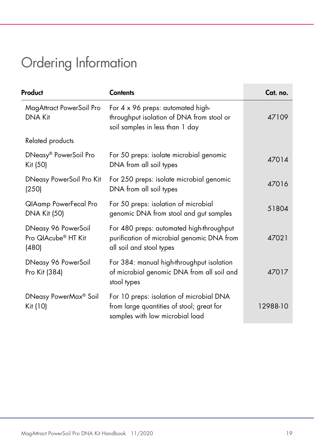# <span id="page-18-0"></span>Ordering Information

| Product                                                         | <b>Contents</b>                                                                                                          | Cat. no. |
|-----------------------------------------------------------------|--------------------------------------------------------------------------------------------------------------------------|----------|
| MagAttract PowerSoil Pro<br><b>DNA Kit</b>                      | For 4 x 96 preps: automated high-<br>throughput isolation of DNA from stool or<br>soil samples in less than 1 day        | 47109    |
| Related products                                                |                                                                                                                          |          |
| DNeasy® PowerSoil Pro<br>Kit (50)                               | For 50 preps: isolate microbial genomic<br>DNA from all soil types                                                       | 47014    |
| <b>DNeasy PowerSoil Pro Kit</b><br>(250)                        | For 250 preps: isolate microbial genomic<br>DNA from all soil types                                                      | 47016    |
| QIAamp PowerFecal Pro<br><b>DNA Kit (50)</b>                    | For 50 preps: isolation of microbial<br>genomic DNA from stool and gut samples                                           | 51804    |
| DNeasy 96 PowerSoil<br>Pro QIAcube <sup>®</sup> HT Kit<br>(480) | For 480 preps: automated high-throughput<br>purification of microbial genomic DNA from<br>all soil and stool types       | 47021    |
| DNeasy 96 PowerSoil<br>Pro Kit (384)                            | For 384: manual high-throughput isolation<br>of microbial genomic DNA from all soil and<br>stool types                   | 47017    |
| DNeasy PowerMax <sup>®</sup> Soil<br>Kit (10)                   | For 10 preps: isolation of microbial DNA<br>from large quantities of stool; great for<br>samples with low microbial load | 12988-10 |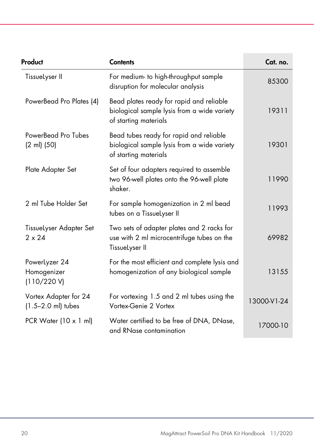| Product                                         | <b>Contents</b>                                                                                                  | Cat. no.    |
|-------------------------------------------------|------------------------------------------------------------------------------------------------------------------|-------------|
| TissueLyser II                                  | For medium- to high-throughput sample<br>disruption for molecular analysis                                       | 85300       |
| PowerBead Pro Plates (4)                        | Bead plates ready for rapid and reliable<br>biological sample lysis from a wide variety<br>of starting materials | 19311       |
| PowerBead Pro Tubes<br>(2 ml) (50)              | Bead tubes ready for rapid and reliable<br>biological sample lysis from a wide variety<br>of starting materials  | 19301       |
| Plate Adapter Set                               | Set of four adapters required to assemble<br>two 96-well plates onto the 96-well plate<br>shaker.                | 11990       |
| 2 ml Tube Holder Set                            | For sample homogenization in 2 ml bead<br>tubes on a TissueLyser II                                              | 11993       |
| TissueLyser Adapter Set<br>$2 \times 24$        | Two sets of adapter plates and 2 racks for<br>use with 2 ml microcentrifuge tubes on the<br>TissueLyser II       | 69982       |
| PowerLyzer 24<br>Homogenizer<br>(110/220 V)     | For the most efficient and complete lysis and<br>homogenization of any biological sample                         | 13155       |
| Vortex Adapter for 24<br>$(1.5 - 2.0$ ml) tubes | For vortexing 1.5 and 2 ml tubes using the<br>Vortex-Genie 2 Vortex                                              | 13000-V1-24 |
| PCR Water $(10 \times 1 \text{ ml})$            | Water certified to be free of DNA, DNase,<br>and RNase contamination                                             | 17000-10    |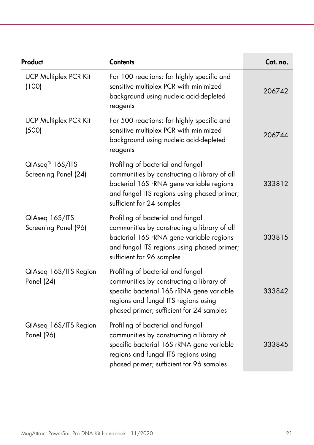| Product                                             | <b>Contents</b>                                                                                                                                                                                                | Cat. no. |
|-----------------------------------------------------|----------------------------------------------------------------------------------------------------------------------------------------------------------------------------------------------------------------|----------|
| <b>UCP Multiplex PCR Kit</b><br>(100)               | For 100 reactions: for highly specific and<br>sensitive multiplex PCR with minimized<br>background using nucleic acid-depleted<br>reagents                                                                     | 206742   |
| <b>UCP Multiplex PCR Kit</b><br>(500)               | For 500 reactions: for highly specific and<br>sensitive multiplex PCR with minimized<br>background using nucleic acid-depleted<br>reagents                                                                     | 206744   |
| QIAseq <sup>®</sup> 16S/ITS<br>Screening Panel (24) | Profiling of bacterial and fungal<br>communities by constructing a library of all<br>bacterial 16S rRNA gene variable regions<br>and fungal ITS regions using phased primer;<br>sufficient for 24 samples      | 333812   |
| QlAseq 16S/ITS<br>Screening Panel (96)              | Profiling of bacterial and fungal<br>communities by constructing a library of all<br>bacterial 16S rRNA gene variable regions<br>and fungal ITS regions using phased primer;<br>sufficient for 96 samples      | 333815   |
| QlAseq 16S/ITS Region<br>Panel (24)                 | Profiling of bacterial and fungal<br>communities by constructing a library of<br>specific bacterial 16S rRNA gene variable<br>regions and fungal ITS regions using<br>phased primer; sufficient for 24 samples | 333842   |
| QlAseq 16S/ITS Region<br>Panel (96)                 | Profiling of bacterial and fungal<br>communities by constructing a library of<br>specific bacterial 16S rRNA gene variable<br>regions and fungal ITS regions using<br>phased primer; sufficient for 96 samples | 333845   |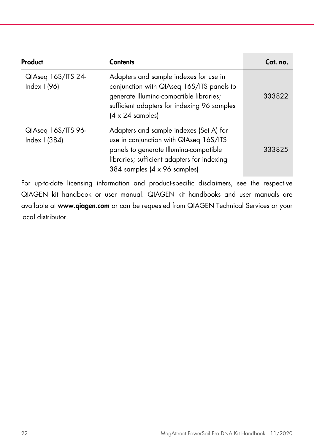| Product                             | <b>Contents</b>                                                                                                                                                                                                  | Cat. no. |
|-------------------------------------|------------------------------------------------------------------------------------------------------------------------------------------------------------------------------------------------------------------|----------|
| QIAseq 16S/ITS 24-<br>Index I (96)  | Adapters and sample indexes for use in<br>conjunction with QIAseq 16S/ITS panels to<br>generate Illumina-compatible libraries;<br>sufficient adapters for indexing 96 samples<br>$(4 \times 24 \text{ samples})$ | 333822   |
| QIAseq 16S/ITS 96-<br>Index I (384) | Adapters and sample indexes (Set A) for<br>use in conjunction with QIAseq 16S/ITS<br>panels to generate Illumina-compatible<br>libraries; sufficient adapters for indexing<br>384 samples (4 x 96 samples)       | 333825   |

For up-to-date licensing information and product-specific disclaimers, see the respective QIAGEN kit handbook or user manual. QIAGEN kit handbooks and user manuals are available at www.qiagen.com or can be requested from QIAGEN Technical Services or your local distributor.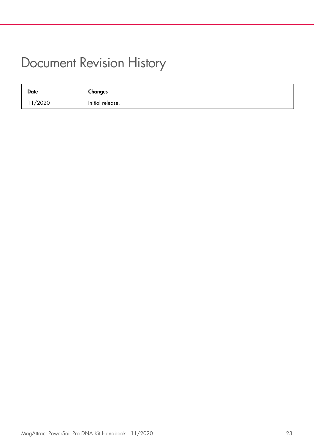#### <span id="page-22-0"></span>Document Revision History

| <b>Date</b> | Changes          |
|-------------|------------------|
| 11/2020     | Initial release. |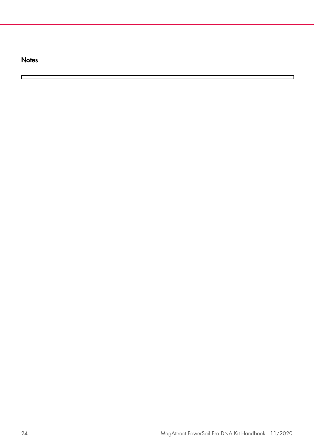**Notes** 

 $\Box$ 

 $\blacksquare$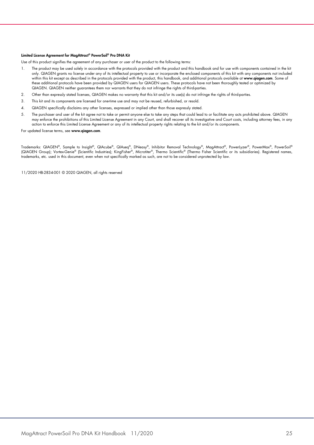#### Limited License Agreement for MagAttract® PowerSoil® Pro DNA Kit

Use of this product signifies the agreement of any purchaser or user of the product to the following terms:

- I. The product may be used solely in accordance with the protocols provided with the product and this handbook and tor use with components contained in the kit (n) he kit (n) only. QIAGEN grants no license under any of its within this kit except as described in the protocols provided with the product, this handbook, and additional protocols available at www.qiagen.com. Some of these additional protocols have been provided by QIAGEN users for QIAGEN users. These protocols have not been thoroughly tested or optimized by QIAGEN. QIAGEN neither guarantees them nor warrants that they do not infringe the rights of third-parties.
- 2. Other than expressly stated licenses, QIAGEN makes no warranty that this kit and/or its use(s) do not infringe the rights of third-parties.
- 3. This kit and its components are licensed for one-time use and may not be reused, refurbished, or resold.
- 4. QIAGEN specifically disclaims any other licenses, expressed or implied other than those expressly stated.
- 5. The purchaser and user of the kit agree not to take or permit anyone else to take any steps that could lead to or facilitate any acts prohibited above. QIAGEN may enforce the prohibitions of this Limited License Agreement in any Court, and shall recover all its investigative and Court costs, including attorney fees, in any action to enforce this Limited License Agreement or any of its intellectual property rights relating to the kit and/or its components.

For updated license terms, see www.qiagen.com.

Trademarks: QIAGEN®, Sample to Insight®, QIAcube®, QIAseq®, DNeasy®, Inhibitor Removal Technology®, MagAttract®, PowerOwex®, PowerSoil®<br>(QIAGEN Group); Vortex-Genie® (Scientific Industries); KingFisher®, Microtiter®, Therm trademarks, etc. used in this document, even when not specifically marked as such, are not to be considered unprotected by law.

11/2020 HB-2834-001 © 2020 QIAGEN, all rights reserved